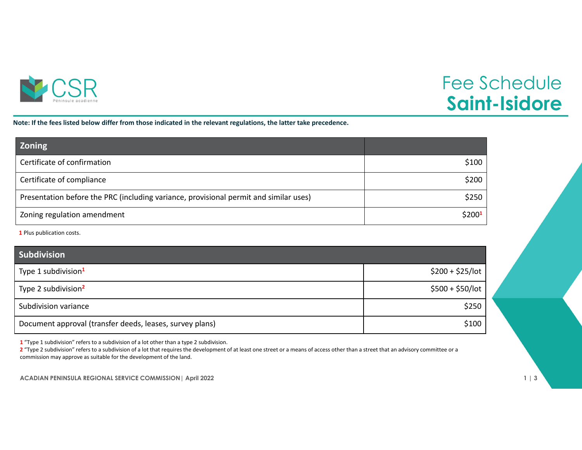

## Fee Schedule **Saint-Isidore**

Note: If the fees listed below differ from those indicated in the relevant regulations, the latter take precedence.

| <b>Zoning</b>                                                                         |                    |
|---------------------------------------------------------------------------------------|--------------------|
| Certificate of confirmation                                                           | \$100              |
| Certificate of compliance                                                             | \$200              |
| Presentation before the PRC (including variance, provisional permit and similar uses) | \$250              |
| Zoning regulation amendment                                                           | \$200 <sup>1</sup> |

**1** Plus publication costs.

| <b>Subdivision</b>                                       |                   |
|----------------------------------------------------------|-------------------|
| Type 1 subdivision <sup>1</sup>                          | $$200 + $25/$ lot |
| Type 2 subdivision <sup>2</sup>                          | $$500 + $50/$ lot |
| Subdivision variance                                     | \$250             |
| Document approval (transfer deeds, leases, survey plans) | \$100             |

**1** "Type 1 subdivision" refers to <sup>a</sup> subdivision of <sup>a</sup> lot other than <sup>a</sup> type 2 subdivision.

**2** "Type 2 subdivision" refers to <sup>a</sup> subdivision of <sup>a</sup> lot that requires the development of at least one street or <sup>a</sup> means of access other than <sup>a</sup> street that an advisory committee or <sup>a</sup> commission may approve as suitable for the development of the land.

**ACADIAN PENINSULA REGIONAL SERVICE COMMISSION| April 2022 1 | 3**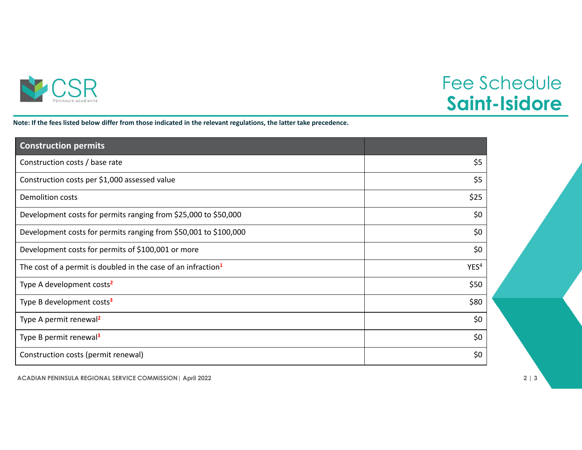

## Fee Schedule **Saint-Isidore**

Note: If the fees listed below differ from those indicated in the relevant regulations, the latter take precedence.

| <b>Construction permits</b>                                               |                  |
|---------------------------------------------------------------------------|------------------|
| Construction costs / base rate                                            | \$5              |
| Construction costs per \$1,000 assessed value                             | \$5              |
| <b>Demolition costs</b>                                                   | \$25             |
| Development costs for permits ranging from \$25,000 to \$50,000           | \$0              |
| Development costs for permits ranging from \$50,001 to \$100,000          | \$0              |
| Development costs for permits of \$100,001 or more                        | \$0              |
| The cost of a permit is doubled in the case of an infraction <sup>1</sup> | YES <sup>4</sup> |
| Type A development costs <sup>2</sup>                                     | \$50             |
| Type B development costs <sup>3</sup>                                     | \$80             |
| Type A permit renewal <sup>2</sup>                                        | \$0              |
| Type B permit renewal <sup>3</sup>                                        | \$0              |
| Construction costs (permit renewal)                                       | \$0              |

**ACADIAN PENINSULA REGIONAL SERVICE COMMISSION| April 2022 2 | 3**